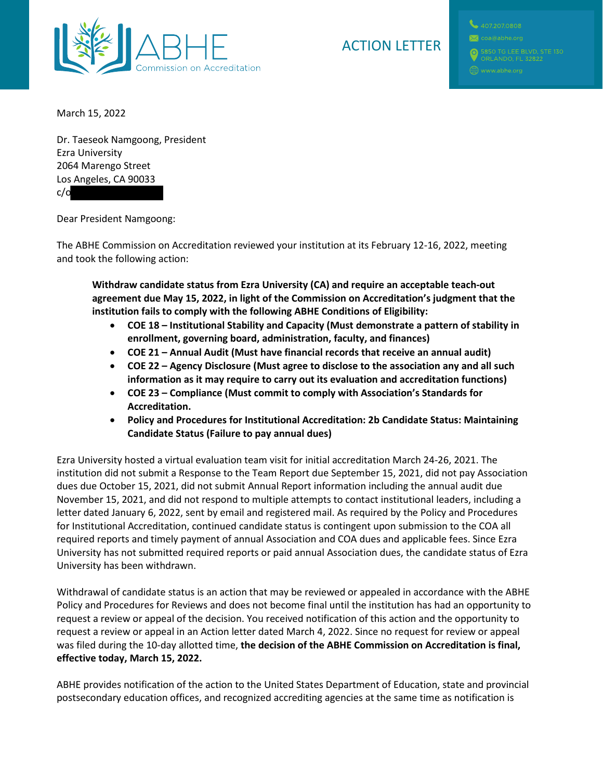

## ACTION LETTER

March 15, 2022

Dr. Taeseok Namgoong, President Ezra University 2064 Marengo Street Los Angeles, CA 90033 c/o

Dear President Namgoong:

The ABHE Commission on Accreditation reviewed your institution at its February 12-16, 2022, meeting and took the following action:

**Withdraw candidate status from Ezra University (CA) and require an acceptable teach-out agreement due May 15, 2022, in light of the Commission on Accreditation's judgment that the institution fails to comply with the following ABHE Conditions of Eligibility:**

- **COE 18 Institutional Stability and Capacity (Must demonstrate a pattern of stability in enrollment, governing board, administration, faculty, and finances)**
- **COE 21 Annual Audit (Must have financial records that receive an annual audit)**
- **COE 22 Agency Disclosure (Must agree to disclose to the association any and all such information as it may require to carry out its evaluation and accreditation functions)**
- **COE 23 Compliance (Must commit to comply with Association's Standards for Accreditation.**
- **Policy and Procedures for Institutional Accreditation: 2b Candidate Status: Maintaining Candidate Status (Failure to pay annual dues)**

Ezra University hosted a virtual evaluation team visit for initial accreditation March 24-26, 2021. The institution did not submit a Response to the Team Report due September 15, 2021, did not pay Association dues due October 15, 2021, did not submit Annual Report information including the annual audit due November 15, 2021, and did not respond to multiple attempts to contact institutional leaders, including a letter dated January 6, 2022, sent by email and registered mail. As required by the Policy and Procedures for Institutional Accreditation, continued candidate status is contingent upon submission to the COA all required reports and timely payment of annual Association and COA dues and applicable fees. Since Ezra University has not submitted required reports or paid annual Association dues, the candidate status of Ezra University has been withdrawn.

Withdrawal of candidate status is an action that may be reviewed or appealed in accordance with the ABHE Policy and Procedures for Reviews and does not become final until the institution has had an opportunity to request a review or appeal of the decision. You received notification of this action and the opportunity to request a review or appeal in an Action letter dated March 4, 2022. Since no request for review or appeal was filed during the 10-day allotted time, **the decision of the ABHE Commission on Accreditation is final, effective today, March 15, 2022.**

ABHE provides notification of the action to the United States Department of Education, state and provincial postsecondary education offices, and recognized accrediting agencies at the same time as notification is